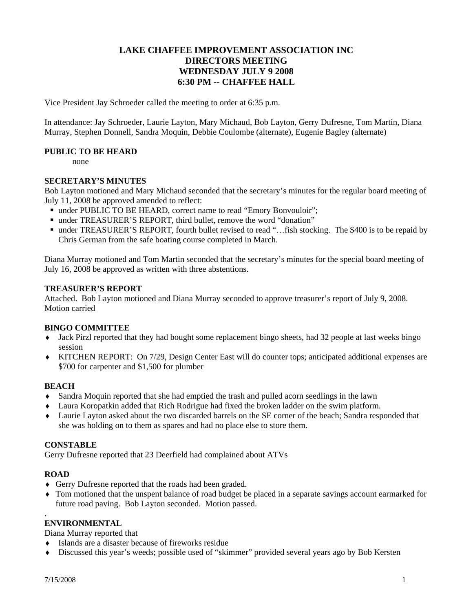# **LAKE CHAFFEE IMPROVEMENT ASSOCIATION INC DIRECTORS MEETING WEDNESDAY JULY 9 2008 6:30 PM -- CHAFFEE HALL**

Vice President Jay Schroeder called the meeting to order at 6:35 p.m.

In attendance: Jay Schroeder, Laurie Layton, Mary Michaud, Bob Layton, Gerry Dufresne, Tom Martin, Diana Murray, Stephen Donnell, Sandra Moquin, Debbie Coulombe (alternate), Eugenie Bagley (alternate)

#### **PUBLIC TO BE HEARD**

none

## **SECRETARY'S MINUTES**

Bob Layton motioned and Mary Michaud seconded that the secretary's minutes for the regular board meeting of July 11, 2008 be approved amended to reflect:

- under PUBLIC TO BE HEARD, correct name to read "Emory Bonvouloir";
- under TREASURER'S REPORT, third bullet, remove the word "donation"
- under TREASURER'S REPORT, fourth bullet revised to read "...fish stocking. The \$400 is to be repaid by Chris German from the safe boating course completed in March.

Diana Murray motioned and Tom Martin seconded that the secretary's minutes for the special board meeting of July 16, 2008 be approved as written with three abstentions.

#### **TREASURER'S REPORT**

Attached. Bob Layton motioned and Diana Murray seconded to approve treasurer's report of July 9, 2008. Motion carried

## **BINGO COMMITTEE**

- ♦ Jack Pirzl reported that they had bought some replacement bingo sheets, had 32 people at last weeks bingo session
- ♦ KITCHEN REPORT: On 7/29, Design Center East will do counter tops; anticipated additional expenses are \$700 for carpenter and \$1,500 for plumber

## **BEACH**

- Sandra Moquin reported that she had emptied the trash and pulled acorn seedlings in the lawn
- ♦ Laura Koropatkin added that Rich Rodrigue had fixed the broken ladder on the swim platform.
- ♦ Laurie Layton asked about the two discarded barrels on the SE corner of the beach; Sandra responded that she was holding on to them as spares and had no place else to store them.

#### **CONSTABLE**

Gerry Dufresne reported that 23 Deerfield had complained about ATVs

## **ROAD**

.

- ♦ Gerry Dufresne reported that the roads had been graded.
- ♦ Tom motioned that the unspent balance of road budget be placed in a separate savings account earmarked for future road paving. Bob Layton seconded. Motion passed.

## **ENVIRONMENTAL**

Diana Murray reported that

- ♦ Islands are a disaster because of fireworks residue
- ♦ Discussed this year's weeds; possible used of "skimmer" provided several years ago by Bob Kersten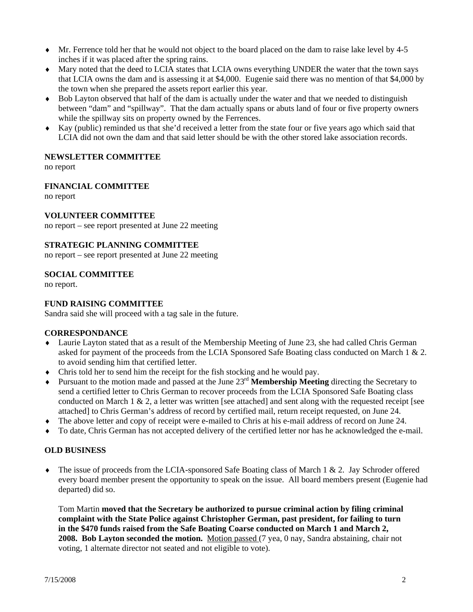- ♦ Mr. Ferrence told her that he would not object to the board placed on the dam to raise lake level by 4-5 inches if it was placed after the spring rains.
- ♦ Mary noted that the deed to LCIA states that LCIA owns everything UNDER the water that the town says that LCIA owns the dam and is assessing it at \$4,000. Eugenie said there was no mention of that \$4,000 by the town when she prepared the assets report earlier this year.
- ♦ Bob Layton observed that half of the dam is actually under the water and that we needed to distinguish between "dam" and "spillway". That the dam actually spans or abuts land of four or five property owners while the spillway sits on property owned by the Ferrences.
- ♦ Kay (public) reminded us that she'd received a letter from the state four or five years ago which said that LCIA did not own the dam and that said letter should be with the other stored lake association records.

## **NEWSLETTER COMMITTEE**

no report

## **FINANCIAL COMMITTEE**

no report

## **VOLUNTEER COMMITTEE**

no report – see report presented at June 22 meeting

## **STRATEGIC PLANNING COMMITTEE**

no report – see report presented at June 22 meeting

## **SOCIAL COMMITTEE**

no report.

## **FUND RAISING COMMITTEE**

Sandra said she will proceed with a tag sale in the future.

## **CORRESPONDANCE**

- ♦ Laurie Layton stated that as a result of the Membership Meeting of June 23, she had called Chris German asked for payment of the proceeds from the LCIA Sponsored Safe Boating class conducted on March 1 & 2. to avoid sending him that certified letter.
- ♦ Chris told her to send him the receipt for the fish stocking and he would pay.
- ♦ Pursuant to the motion made and passed at the June 23rd **Membership Meeting** directing the Secretary to send a certified letter to Chris German to recover proceeds from the LCIA Sponsored Safe Boating class conducted on March 1  $\&$  2, a letter was written [see attached] and sent along with the requested receipt [see attached] to Chris German's address of record by certified mail, return receipt requested, on June 24.
- ♦ The above letter and copy of receipt were e-mailed to Chris at his e-mail address of record on June 24.
- ♦ To date, Chris German has not accepted delivery of the certified letter nor has he acknowledged the e-mail.

## **OLD BUSINESS**

♦ The issue of proceeds from the LCIA-sponsored Safe Boating class of March 1 & 2. Jay Schroder offered every board member present the opportunity to speak on the issue. All board members present (Eugenie had departed) did so.

Tom Martin **moved that the Secretary be authorized to pursue criminal action by filing criminal complaint with the State Police against Christopher German, past president, for failing to turn in the \$470 funds raised from the Safe Boating Coarse conducted on March 1 and March 2, 2008. Bob Layton seconded the motion.** Motion passed (7 yea, 0 nay, Sandra abstaining, chair not voting, 1 alternate director not seated and not eligible to vote).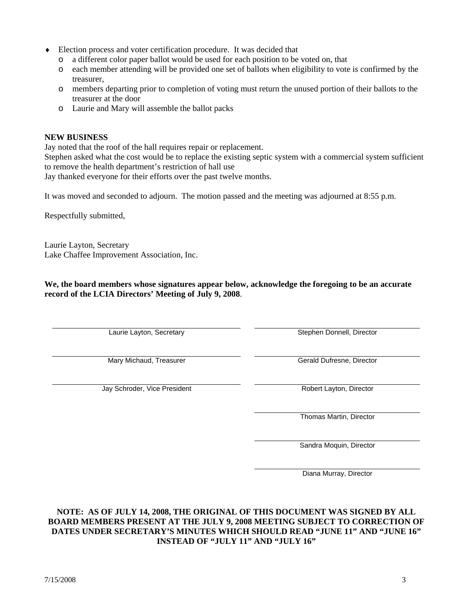- ♦ Election process and voter certification procedure. It was decided that
	- o a different color paper ballot would be used for each position to be voted on, that
	- o each member attending will be provided one set of ballots when eligibility to vote is confirmed by the treasurer,
	- o members departing prior to completion of voting must return the unused portion of their ballots to the treasurer at the door
	- o Laurie and Mary will assemble the ballot packs

#### **NEW BUSINESS**

Jay noted that the roof of the hall requires repair or replacement. Stephen asked what the cost would be to replace the existing septic system with a commercial system sufficient to remove the health department's restriction of hall use Jay thanked everyone for their efforts over the past twelve months.

It was moved and seconded to adjourn. The motion passed and the meeting was adjourned at 8:55 p.m.

Respectfully submitted,

Laurie Layton, Secretary Lake Chaffee Improvement Association, Inc.

**We, the board members whose signatures appear below, acknowledge the foregoing to be an accurate record of the LCIA Directors' Meeting of July 9, 2008**.

Laurie Layton, Secretary **Stephen Donnell**, Director

Mary Michaud, Treasurer **Gerald Dufresne, Director** Gerald Dufresne, Director

Jay Schroder, Vice President **Robert Layton, Director** Robert Layton, Director

Thomas Martin, Director

Sandra Moquin, Director

Diana Murray, Director

**NOTE: AS OF JULY 14, 2008, THE ORIGINAL OF THIS DOCUMENT WAS SIGNED BY ALL BOARD MEMBERS PRESENT AT THE JULY 9, 2008 MEETING SUBJECT TO CORRECTION OF DATES UNDER SECRETARY'S MINUTES WHICH SHOULD READ "JUNE 11" AND "JUNE 16" INSTEAD OF "JULY 11" AND "JULY 16"**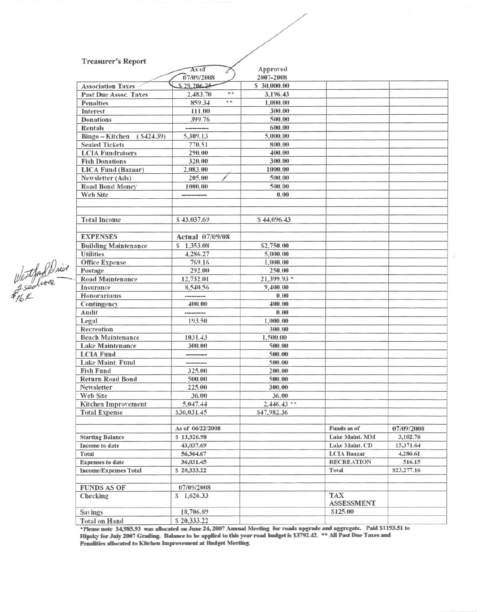#### **Treasurer's Report**

|                              | As of             | Approved      |                                 |             |
|------------------------------|-------------------|---------------|---------------------------------|-------------|
|                              | 07/09/2008        | 2007-2008     |                                 |             |
| <b>Association Taxes</b>     | \$29,206,25       | \$30,000.00   |                                 |             |
| <b>Past Due Assoc. Taxes</b> | $* *$<br>2,483.70 | 3,196.43      |                                 |             |
| <b>Penalties</b>             | **<br>859.34      | 1,000.00      |                                 |             |
| Interest                     | 111.00            | 300.00        |                                 |             |
| <b>Donations</b>             | 399.76            | 500.00        |                                 |             |
| <b>Rentals</b>               |                   | 600.00        |                                 |             |
| (S424.39)<br>Bingo - Kitchen | 5,309.13          | 5,000.00      |                                 |             |
| <b>Sealed Tickets</b>        | 770.51            | 800.00        |                                 |             |
| <b>LCIA Fundraisers</b>      | 290.00            | 400.00        |                                 |             |
| <b>Fish Donations</b>        | 320.00            | 300.00        |                                 |             |
| <b>LICA Fund (Bazaar)</b>    | 2,083.00          | 1000.00       |                                 |             |
| Newsletter (Ads)             | 205.00            | 500.00        |                                 |             |
| <b>Road Bond Money</b>       | 1000.00           | 500.00        |                                 |             |
| <b>Web Site</b>              |                   | 0.00          |                                 |             |
|                              |                   |               |                                 |             |
|                              |                   |               |                                 |             |
| <b>Total Income</b>          | \$43,037.69       | \$44,096.43   |                                 |             |
|                              |                   |               |                                 |             |
| <b>EXPENSES</b>              | Actual 07/09/08   |               |                                 |             |
|                              |                   |               |                                 |             |
| <b>Building Maintenance</b>  | \$1,353.08        | \$2,750.00    |                                 |             |
| <b>Utilities</b>             | 4.286.27          | 5,000.00      |                                 |             |
| <b>Office Expense</b>        | 769.16            | 1,000.00      |                                 |             |
| Postage                      | 292.00            | 250.00        |                                 |             |
| <b>Road Maintenance</b>      | 12,732.01         | 21,399.93 *   |                                 |             |
| Insurance                    | 8,540.56          | 9,400.00      |                                 |             |
| Honorariums                  | ---------         | 0.00          |                                 |             |
| Contingency                  | 400.00            | 400.00        |                                 |             |
| Audit                        |                   | 0.00          |                                 |             |
| Legal                        | 193.50            | 1,000.00      |                                 |             |
| Recreation                   |                   | 300.00        |                                 |             |
| <b>Beach Maintenance</b>     | 1031.43           | 1,500.00      |                                 |             |
| <b>Lake Maintenance</b>      | 300.00            | 500.00        |                                 |             |
| <b>LCIA Fund</b>             |                   | 500.00        |                                 |             |
| Lake Maint. Fund             | ---------         | 500.00        |                                 |             |
| <b>Fish Fund</b>             | 325.00            | 200.00        |                                 |             |
| <b>Return Road Bond</b>      | 500.00            | 500.00        |                                 |             |
| Newsletter                   | 225.00            | 300.00        |                                 |             |
| Web Site                     | 36.00             | 36.00         |                                 |             |
| <b>Kitchen Improvement</b>   | 5,047.44          | $2,446.43$ ** |                                 |             |
| <b>Total Expense</b>         | \$36,031.45       | \$47,982.36   |                                 |             |
|                              |                   |               |                                 |             |
|                              | As of 06/22/2008  |               | Funds as of                     | 07/09/2008  |
| <b>Starting Balance</b>      | \$13,326.98       |               | Lake Maint. MM                  | 3,102.76    |
| Income to date               | 43,037.69         |               | Lake Maint. CD                  | 15,371.64   |
| <b>Total</b>                 | 56,364.67         |               | <b>LCIA Baazar</b>              | 4,286.61    |
| <b>Expenses to date</b>      | 36,031.45         |               | <b>RECREATION</b>               | 516.15      |
| <b>Income/Expenses Total</b> | \$20,333.22       |               | Total                           | \$23,277.16 |
|                              |                   |               |                                 |             |
| <b>FUNDS AS OF</b>           | 07/09/2008        |               |                                 |             |
| Checking                     | \$1,626.33        |               | <b>TAX</b><br><b>ASSESSMENT</b> |             |
| <b>Savings</b>               | 18,706.89         |               | \$125.00                        |             |
| <b>Total on Hand</b>         | \$20,333.22       |               |                                 |             |
|                              |                   |               |                                 |             |

**EXECUTE THEORY OF A SURVEY OF A SURVEY OF A SURVEY OF THE SERVERT PRESS TO A SURVEY OF July 2007 Grading.** Balance to be applied to this year road budget is \$3792.42. <sup>\*\*</sup> All Past Due Taxes and Penalities allocated to K

Westfashine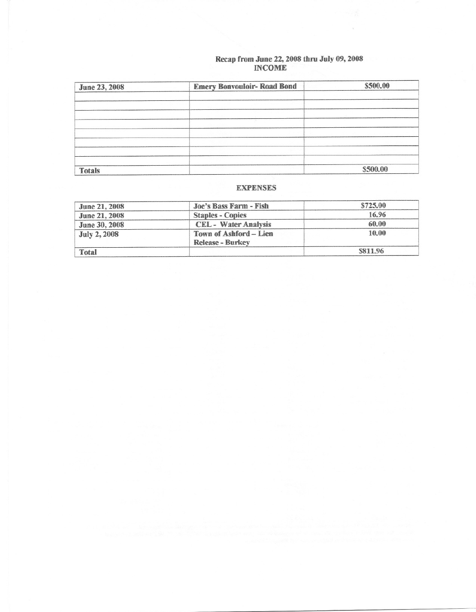# Recap from June 22, 2008 thru July 09, 2008<br>INCOME

| June 23, 2008 | <b>Emery Bonvouloir- Road Bond</b> | \$500.00 |
|---------------|------------------------------------|----------|
|               |                                    |          |
|               |                                    |          |
|               |                                    |          |
|               |                                    |          |
|               |                                    |          |
|               |                                    |          |
|               |                                    |          |
|               |                                    |          |
| <b>Totals</b> |                                    | \$500.00 |

## **EXPENSES**

| <b>June 21, 2008</b> | Joe's Bass Farm - Fish                            | \$725.00 |
|----------------------|---------------------------------------------------|----------|
| <b>June 21, 2008</b> | <b>Staples - Copies</b>                           | 16.96    |
| <b>June 30, 2008</b> | <b>CEL</b> - Water Analysis                       | 60.00    |
| <b>July 2, 2008</b>  | Town of Ashford – Lien<br><b>Release - Burkey</b> | 10.00    |
| <b>Total</b>         |                                                   | \$811.96 |